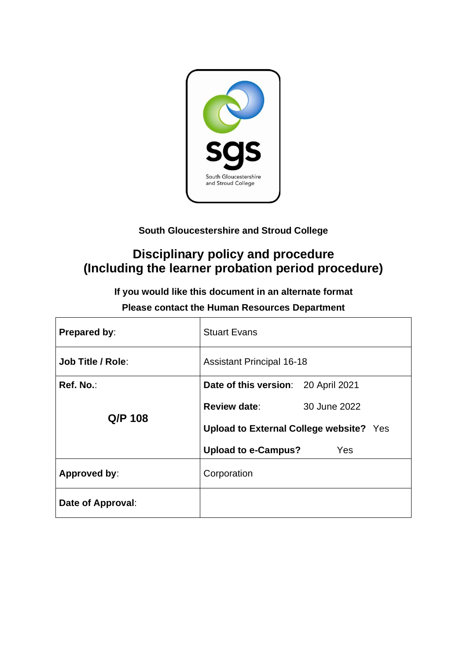

# **South Gloucestershire and Stroud College**

# **Disciplinary policy and procedure (Including the learner probation period procedure)**

**If you would like this document in an alternate format**

| Prepared by:             | <b>Stuart Evans</b>                            |              |
|--------------------------|------------------------------------------------|--------------|
| <b>Job Title / Role:</b> | <b>Assistant Principal 16-18</b>               |              |
| Ref. No.:                | Date of this version: 20 April 2021            |              |
| Q/P 108                  | <b>Review date:</b>                            | 30 June 2022 |
|                          | <b>Upload to External College website?</b> Yes |              |
|                          | Upload to e-Campus?                            | Yes          |
| Approved by:             | Corporation                                    |              |
| Date of Approval:        |                                                |              |

# **Please contact the Human Resources Department**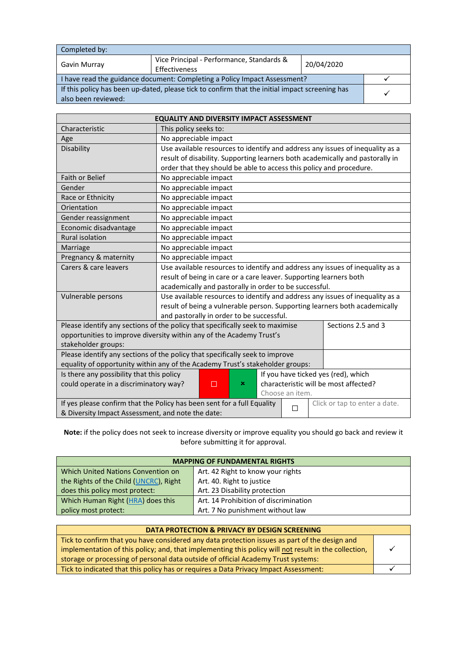| Completed by:                                                                                  |                                                            |            |  |  |
|------------------------------------------------------------------------------------------------|------------------------------------------------------------|------------|--|--|
| Gavin Murray                                                                                   | Vice Principal - Performance, Standards &<br>Effectiveness | 20/04/2020 |  |  |
| I have read the guidance document: Completing a Policy Impact Assessment?                      |                                                            |            |  |  |
| If this policy has been up-dated, please tick to confirm that the initial impact screening has |                                                            |            |  |  |
| also been reviewed:                                                                            |                                                            |            |  |  |

| <b>EQUALITY AND DIVERSITY IMPACT ASSESSMENT</b>                                                               |                                                                               |  |  |  |
|---------------------------------------------------------------------------------------------------------------|-------------------------------------------------------------------------------|--|--|--|
| Characteristic                                                                                                | This policy seeks to:                                                         |  |  |  |
| Age                                                                                                           | No appreciable impact                                                         |  |  |  |
| Disability                                                                                                    | Use available resources to identify and address any issues of inequality as a |  |  |  |
|                                                                                                               | result of disability. Supporting learners both academically and pastorally in |  |  |  |
|                                                                                                               | order that they should be able to access this policy and procedure.           |  |  |  |
| Faith or Belief                                                                                               | No appreciable impact                                                         |  |  |  |
| Gender                                                                                                        | No appreciable impact                                                         |  |  |  |
| Race or Ethnicity                                                                                             | No appreciable impact                                                         |  |  |  |
| Orientation                                                                                                   | No appreciable impact                                                         |  |  |  |
| Gender reassignment                                                                                           | No appreciable impact                                                         |  |  |  |
| Economic disadvantage                                                                                         | No appreciable impact                                                         |  |  |  |
| <b>Rural isolation</b>                                                                                        | No appreciable impact                                                         |  |  |  |
| Marriage                                                                                                      | No appreciable impact                                                         |  |  |  |
| Pregnancy & maternity                                                                                         | No appreciable impact                                                         |  |  |  |
| Carers & care leavers                                                                                         | Use available resources to identify and address any issues of inequality as a |  |  |  |
|                                                                                                               | result of being in care or a care leaver. Supporting learners both            |  |  |  |
|                                                                                                               | academically and pastorally in order to be successful.                        |  |  |  |
| Vulnerable persons                                                                                            | Use available resources to identify and address any issues of inequality as a |  |  |  |
|                                                                                                               | result of being a vulnerable person. Supporting learners both academically    |  |  |  |
|                                                                                                               | and pastorally in order to be successful.                                     |  |  |  |
| Please identify any sections of the policy that specifically seek to maximise<br>Sections 2.5 and 3           |                                                                               |  |  |  |
|                                                                                                               | opportunities to improve diversity within any of the Academy Trust's          |  |  |  |
| stakeholder groups:                                                                                           |                                                                               |  |  |  |
| Please identify any sections of the policy that specifically seek to improve                                  |                                                                               |  |  |  |
| equality of opportunity within any of the Academy Trust's stakeholder groups:                                 |                                                                               |  |  |  |
| Is there any possibility that this policy<br>If you have ticked yes (red), which                              |                                                                               |  |  |  |
| characteristic will be most affected?<br>could operate in a discriminatory way?<br>×<br>п                     |                                                                               |  |  |  |
| Choose an item.                                                                                               |                                                                               |  |  |  |
| If yes please confirm that the Policy has been sent for a full Equality<br>Click or tap to enter a date.<br>П |                                                                               |  |  |  |
| & Diversity Impact Assessment, and note the date:                                                             |                                                                               |  |  |  |

**Note:** if the policy does not seek to increase diversity or improve equality you should go back and review it before submitting it for approval.

| <b>MAPPING OF FUNDAMENTAL RIGHTS</b>   |                                       |  |
|----------------------------------------|---------------------------------------|--|
| Which United Nations Convention on     | Art. 42 Right to know your rights     |  |
| the Rights of the Child (UNCRC), Right | Art. 40. Right to justice             |  |
| does this policy most protect:         | Art. 23 Disability protection         |  |
| Which Human Right (HRA) does this      | Art. 14 Prohibition of discrimination |  |
| policy most protect:                   | Art. 7 No punishment without law      |  |

| DATA PROTECTION & PRIVACY BY DESIGN SCREENING                                                        |  |
|------------------------------------------------------------------------------------------------------|--|
| Tick to confirm that you have considered any data protection issues as part of the design and        |  |
| implementation of this policy; and, that implementing this policy will not result in the collection, |  |
| storage or processing of personal data outside of official Academy Trust systems:                    |  |
| Tick to indicated that this policy has or requires a Data Privacy Impact Assessment:                 |  |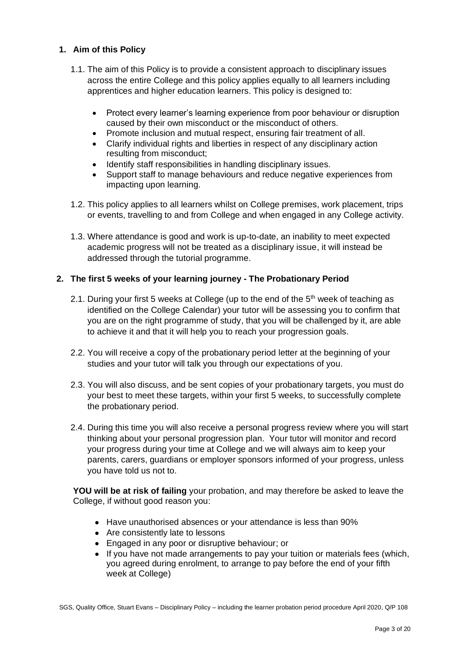#### **1. Aim of this Policy**

- 1.1. The aim of this Policy is to provide a consistent approach to disciplinary issues across the entire College and this policy applies equally to all learners including apprentices and higher education learners. This policy is designed to:
	- Protect every learner's learning experience from poor behaviour or disruption caused by their own misconduct or the misconduct of others.
	- Promote inclusion and mutual respect, ensuring fair treatment of all.
	- Clarify individual rights and liberties in respect of any disciplinary action resulting from misconduct;
	- Identify staff responsibilities in handling disciplinary issues.
	- Support staff to manage behaviours and reduce negative experiences from impacting upon learning.
- 1.2. This policy applies to all learners whilst on College premises, work placement, trips or events, travelling to and from College and when engaged in any College activity.
- 1.3. Where attendance is good and work is up-to-date, an inability to meet expected academic progress will not be treated as a disciplinary issue, it will instead be addressed through the tutorial programme.

#### **2. The first 5 weeks of your learning journey - The Probationary Period**

- 2.1. During your first 5 weeks at College (up to the end of the  $5<sup>th</sup>$  week of teaching as identified on the College Calendar) your tutor will be assessing you to confirm that you are on the right programme of study, that you will be challenged by it, are able to achieve it and that it will help you to reach your progression goals.
- 2.2. You will receive a copy of the probationary period letter at the beginning of your studies and your tutor will talk you through our expectations of you.
- 2.3. You will also discuss, and be sent copies of your probationary targets, you must do your best to meet these targets, within your first 5 weeks, to successfully complete the probationary period.
- 2.4. During this time you will also receive a personal progress review where you will start thinking about your personal progression plan. Your tutor will monitor and record your progress during your time at College and we will always aim to keep your parents, carers, guardians or employer sponsors informed of your progress, unless you have told us not to.

**YOU will be at risk of failing** your probation, and may therefore be asked to leave the College, if without good reason you:

- Have unauthorised absences or your attendance is less than 90%
- Are consistently late to lessons
- Engaged in any poor or disruptive behaviour; or
- If you have not made arrangements to pay your tuition or materials fees (which, you agreed during enrolment, to arrange to pay before the end of your fifth week at College)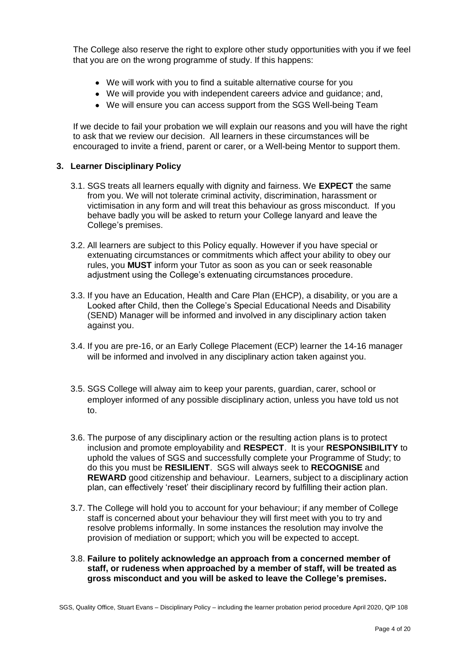The College also reserve the right to explore other study opportunities with you if we feel that you are on the wrong programme of study. If this happens:

- We will work with you to find a suitable alternative course for you
- We will provide you with independent careers advice and quidance; and,
- We will ensure you can access support from the SGS Well-being Team

If we decide to fail your probation we will explain our reasons and you will have the right to ask that we review our decision. All learners in these circumstances will be encouraged to invite a friend, parent or carer, or a Well-being Mentor to support them.

#### **3. Learner Disciplinary Policy**

- 3.1. SGS treats all learners equally with dignity and fairness. We **EXPECT** the same from you. We will not tolerate criminal activity, discrimination, harassment or victimisation in any form and will treat this behaviour as gross misconduct. If you behave badly you will be asked to return your College lanyard and leave the College's premises.
- 3.2. All learners are subject to this Policy equally. However if you have special or extenuating circumstances or commitments which affect your ability to obey our rules, you **MUST** inform your Tutor as soon as you can or seek reasonable adjustment using the College's extenuating circumstances procedure.
- 3.3. If you have an Education, Health and Care Plan (EHCP), a disability, or you are a Looked after Child, then the College's Special Educational Needs and Disability (SEND) Manager will be informed and involved in any disciplinary action taken against you.
- 3.4. If you are pre-16, or an Early College Placement (ECP) learner the 14-16 manager will be informed and involved in any disciplinary action taken against you.
- 3.5. SGS College will alway aim to keep your parents, guardian, carer, school or employer informed of any possible disciplinary action, unless you have told us not to.
- 3.6. The purpose of any disciplinary action or the resulting action plans is to protect inclusion and promote employability and **RESPECT**. It is your **RESPONSIBILITY** to uphold the values of SGS and successfully complete your Programme of Study; to do this you must be **RESILIENT**. SGS will always seek to **RECOGNISE** and **REWARD** good citizenship and behaviour. Learners, subject to a disciplinary action plan, can effectively 'reset' their disciplinary record by fulfilling their action plan.
- 3.7. The College will hold you to account for your behaviour; if any member of College staff is concerned about your behaviour they will first meet with you to try and resolve problems informally. In some instances the resolution may involve the provision of mediation or support; which you will be expected to accept.
- 3.8. **Failure to politely acknowledge an approach from a concerned member of staff, or rudeness when approached by a member of staff, will be treated as gross misconduct and you will be asked to leave the College's premises.**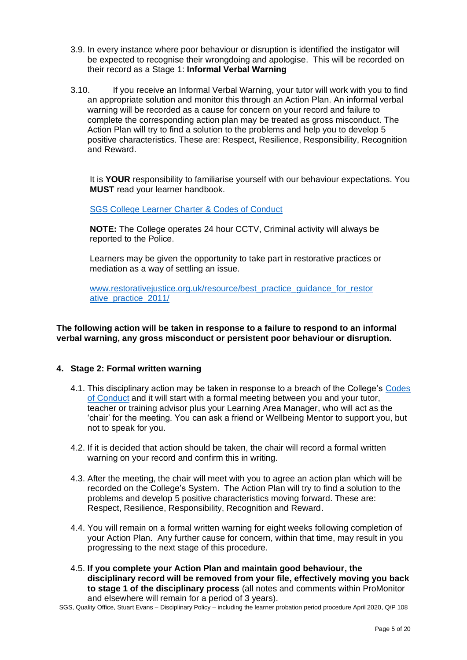- 3.9. In every instance where poor behaviour or disruption is identified the instigator will be expected to recognise their wrongdoing and apologise. This will be recorded on their record as a Stage 1: **Informal Verbal Warning**
- 3.10. If you receive an Informal Verbal Warning, your tutor will work with you to find an appropriate solution and monitor this through an Action Plan. An informal verbal warning will be recorded as a cause for concern on your record and failure to complete the corresponding action plan may be treated as gross misconduct. The Action Plan will try to find a solution to the problems and help you to develop 5 positive characteristics. These are: Respect, Resilience, Responsibility, Recognition and Reward.

It is **YOUR** responsibility to familiarise yourself with our behaviour expectations. You **MUST** read your learner handbook.

[SGS College Learner Charter & Codes of Conduct](http://www.sgscol.ac.uk/repository/documents/policies/Learner_Charter_Codes_conduct_17-18.pdf)

**NOTE:** The College operates 24 hour CCTV, Criminal activity will always be reported to the Police.

Learners may be given the opportunity to take part in restorative practices or mediation as a way of settling an issue.

www.restorativejustice.org.uk/resource/best\_practice\_guidance\_for\_restor [ative\\_practice\\_2011/](http://www.restorativejustice.org.uk/resource/best_practice_guidance_for_restor%20ative_practice_2011/)

#### **The following action will be taken in response to a failure to respond to an informal verbal warning, any gross misconduct or persistent poor behaviour or disruption.**

#### **4. Stage 2: Formal written warning**

- 4.1. This disciplinary action may be taken in response to a breach of the College's Codes [of Conduct](http://www.sgscol.ac.uk/repository/documents/policies/Learner_Charter_Codes_conduct_17-18.pdf) and it will start with a formal meeting between you and your tutor, teacher or training advisor plus your Learning Area Manager, who will act as the 'chair' for the meeting. You can ask a friend or Wellbeing Mentor to support you, but not to speak for you.
- 4.2. If it is decided that action should be taken, the chair will record a formal written warning on your record and confirm this in writing.
- 4.3. After the meeting, the chair will meet with you to agree an action plan which will be recorded on the College's System. The Action Plan will try to find a solution to the problems and develop 5 positive characteristics moving forward. These are: Respect, Resilience, Responsibility, Recognition and Reward.
- 4.4. You will remain on a formal written warning for eight weeks following completion of your Action Plan. Any further cause for concern, within that time, may result in you progressing to the next stage of this procedure.
- 4.5. **If you complete your Action Plan and maintain good behaviour, the disciplinary record will be removed from your file, effectively moving you back to stage 1 of the disciplinary process** (all notes and comments within ProMonitor and elsewhere will remain for a period of 3 years).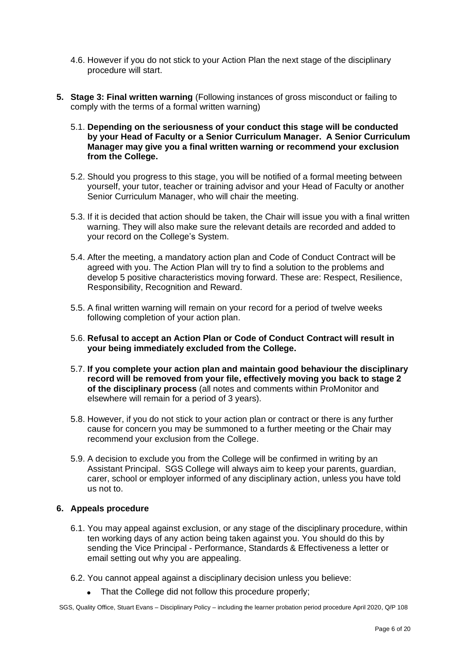- 4.6. However if you do not stick to your Action Plan the next stage of the disciplinary procedure will start.
- **5. Stage 3: Final written warning** (Following instances of gross misconduct or failing to comply with the terms of a formal written warning)
	- 5.1. **Depending on the seriousness of your conduct this stage will be conducted by your Head of Faculty or a Senior Curriculum Manager. A Senior Curriculum Manager may give you a final written warning or recommend your exclusion from the College.**
	- 5.2. Should you progress to this stage, you will be notified of a formal meeting between yourself, your tutor, teacher or training advisor and your Head of Faculty or another Senior Curriculum Manager, who will chair the meeting.
	- 5.3. If it is decided that action should be taken, the Chair will issue you with a final written warning. They will also make sure the relevant details are recorded and added to your record on the College's System.
	- 5.4. After the meeting, a mandatory action plan and Code of Conduct Contract will be agreed with you. The Action Plan will try to find a solution to the problems and develop 5 positive characteristics moving forward. These are: Respect, Resilience, Responsibility, Recognition and Reward.
	- 5.5. A final written warning will remain on your record for a period of twelve weeks following completion of your action plan.
	- 5.6. **Refusal to accept an Action Plan or Code of Conduct Contract will result in your being immediately excluded from the College.**
	- 5.7. **If you complete your action plan and maintain good behaviour the disciplinary record will be removed from your file, effectively moving you back to stage 2 of the disciplinary process** (all notes and comments within ProMonitor and elsewhere will remain for a period of 3 years).
	- 5.8. However, if you do not stick to your action plan or contract or there is any further cause for concern you may be summoned to a further meeting or the Chair may recommend your exclusion from the College.
	- 5.9. A decision to exclude you from the College will be confirmed in writing by an Assistant Principal. SGS College will always aim to keep your parents, guardian, carer, school or employer informed of any disciplinary action, unless you have told us not to.

#### **6. Appeals procedure**

- 6.1. You may appeal against exclusion, or any stage of the disciplinary procedure, within ten working days of any action being taken against you. You should do this by sending the Vice Principal - Performance, Standards & Effectiveness a letter or email setting out why you are appealing.
- 6.2. You cannot appeal against a disciplinary decision unless you believe:
	- That the College did not follow this procedure properly;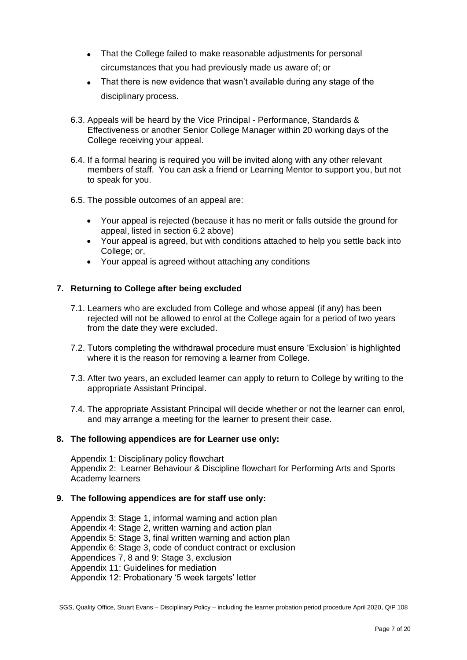- That the College failed to make reasonable adjustments for personal circumstances that you had previously made us aware of; or
- That there is new evidence that wasn't available during any stage of the disciplinary process.
- 6.3. Appeals will be heard by the Vice Principal Performance, Standards & Effectiveness or another Senior College Manager within 20 working days of the College receiving your appeal.
- 6.4. If a formal hearing is required you will be invited along with any other relevant members of staff. You can ask a friend or Learning Mentor to support you, but not to speak for you.
- 6.5. The possible outcomes of an appeal are:
	- Your appeal is rejected (because it has no merit or falls outside the ground for appeal, listed in section 6.2 above)
	- Your appeal is agreed, but with conditions attached to help you settle back into College: or,
	- Your appeal is agreed without attaching any conditions

#### **7. Returning to College after being excluded**

- 7.1. Learners who are excluded from College and whose appeal (if any) has been rejected will not be allowed to enrol at the College again for a period of two years from the date they were excluded.
- 7.2. Tutors completing the withdrawal procedure must ensure 'Exclusion' is highlighted where it is the reason for removing a learner from College.
- 7.3. After two years, an excluded learner can apply to return to College by writing to the appropriate Assistant Principal.
- 7.4. The appropriate Assistant Principal will decide whether or not the learner can enrol, and may arrange a meeting for the learner to present their case.

#### **8. The following appendices are for Learner use only:**

Appendix 1: Disciplinary policy flowchart Appendix 2: Learner Behaviour & Discipline flowchart for Performing Arts and Sports Academy learners

#### **9. The following appendices are for staff use only:**

Appendix 3: Stage 1, informal warning and action plan Appendix 4: Stage 2, written warning and action plan Appendix 5: Stage 3, final written warning and action plan Appendix 6: Stage 3, code of conduct contract or exclusion Appendices 7, 8 and 9: Stage 3, exclusion Appendix 11: Guidelines for mediation Appendix 12: Probationary '5 week targets' letter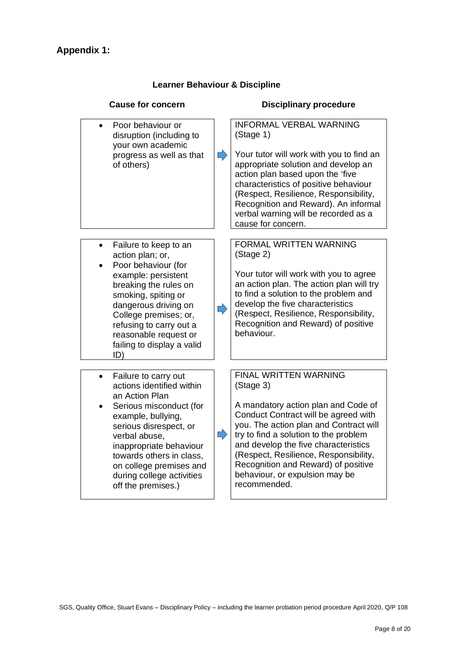# **Appendix 1:**

### **Learner Behaviour & Discipline**

| <b>Cause for concern</b>                                                                                                                                                                                                                        |   | <b>Disciplinary procedure</b>                                                                                                                                                                                                                                                                                                                              |
|-------------------------------------------------------------------------------------------------------------------------------------------------------------------------------------------------------------------------------------------------|---|------------------------------------------------------------------------------------------------------------------------------------------------------------------------------------------------------------------------------------------------------------------------------------------------------------------------------------------------------------|
| Poor behaviour or<br>disruption (including to<br>your own academic<br>progress as well as that<br>of others)                                                                                                                                    | ⋫ | <b>INFORMAL VERBAL WARNING</b><br>(Stage 1)<br>Your tutor will work with you to find an<br>appropriate solution and develop an<br>action plan based upon the 'five<br>characteristics of positive behaviour<br>(Respect, Resilience, Responsibility,<br>Recognition and Reward). An informal<br>verbal warning will be recorded as a<br>cause for concern. |
| Failure to keep to an<br>action plan; or,<br>Poor behaviour (for<br>example: persistent                                                                                                                                                         |   | FORMAL WRITTEN WARNING<br>(Stage 2)<br>Your tutor will work with you to agree<br>an action plan. The action plan will try                                                                                                                                                                                                                                  |
| breaking the rules on<br>smoking, spiting or<br>dangerous driving on<br>College premises; or,<br>refusing to carry out a<br>reasonable request or<br>failing to display a valid<br>ID)                                                          |   | to find a solution to the problem and<br>develop the five characteristics<br>(Respect, Resilience, Responsibility,<br>Recognition and Reward) of positive<br>behaviour.                                                                                                                                                                                    |
| Failure to carry out<br>actions identified within                                                                                                                                                                                               |   | FINAL WRITTEN WARNING<br>(Stage 3)                                                                                                                                                                                                                                                                                                                         |
| an Action Plan<br>Serious misconduct (for<br>example, bullying,<br>serious disrespect, or<br>verbal abuse,<br>inappropriate behaviour<br>towards others in class,<br>on college premises and<br>during college activities<br>off the premises.) | ⇨ | A mandatory action plan and Code of<br>Conduct Contract will be agreed with<br>you. The action plan and Contract will<br>try to find a solution to the problem<br>and develop the five characteristics<br>(Respect, Resilience, Responsibility,<br>Recognition and Reward) of positive<br>behaviour, or expulsion may be<br>recommended.                   |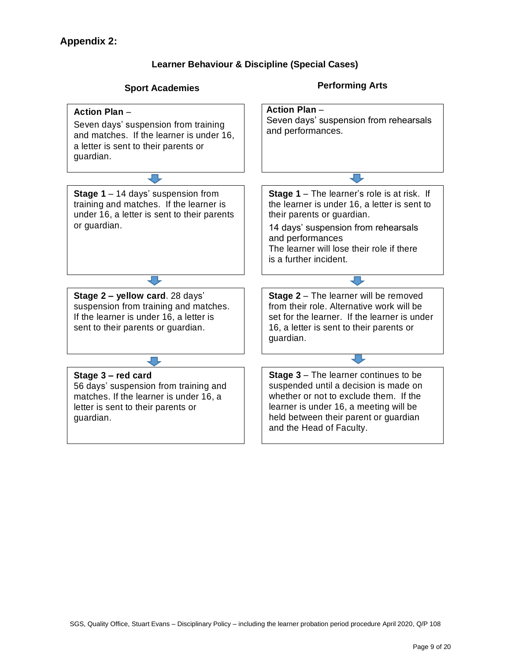#### **Learner Behaviour & Discipline (Special Cases)**

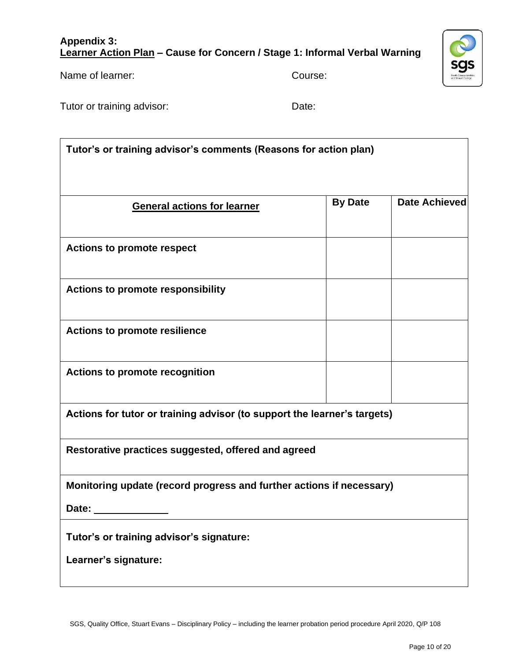#### **Appendix 3: Learner Action Plan – Cause for Concern / Stage 1: Informal Verbal Warning**

Name of learner: Course:

Tutor or training advisor: Tutor or training advisor:

**Tutor's or training advisor's comments (Reasons for action plan)**

| <b>General actions for learner</b>                                       | <b>By Date</b> | Date Achieved |
|--------------------------------------------------------------------------|----------------|---------------|
| <b>Actions to promote respect</b>                                        |                |               |
| <b>Actions to promote responsibility</b>                                 |                |               |
| <b>Actions to promote resilience</b>                                     |                |               |
| <b>Actions to promote recognition</b>                                    |                |               |
| Actions for tutor or training advisor (to support the learner's targets) |                |               |

**Restorative practices suggested, offered and agreed**

**Monitoring update (record progress and further actions if necessary)**

**Date:**

**Tutor's or training advisor's signature:** 

**Learner's signature:**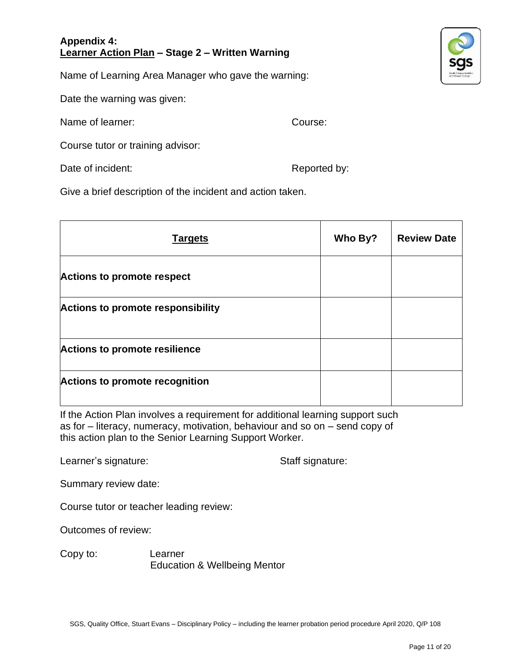#### **Appendix 4: Learner Action Plan – Stage 2 – Written Warning**

Name of Learning Area Manager who gave the warning:

Date the warning was given:

Name of learner: Course:

Course tutor or training advisor:

Date of incident:  $\blacksquare$ 

Give a brief description of the incident and action taken.

| <b>Targets</b>                           | Who By? | <b>Review Date</b> |
|------------------------------------------|---------|--------------------|
| <b>Actions to promote respect</b>        |         |                    |
| <b>Actions to promote responsibility</b> |         |                    |
| <b>Actions to promote resilience</b>     |         |                    |
| <b>Actions to promote recognition</b>    |         |                    |

If the Action Plan involves a requirement for additional learning support such as for – literacy, numeracy, motivation, behaviour and so on – send copy of this action plan to the Senior Learning Support Worker.

Learner's signature: Staff signature:

Summary review date:

Course tutor or teacher leading review:

Outcomes of review:

Copy to: Learner Education & Wellbeing Mentor

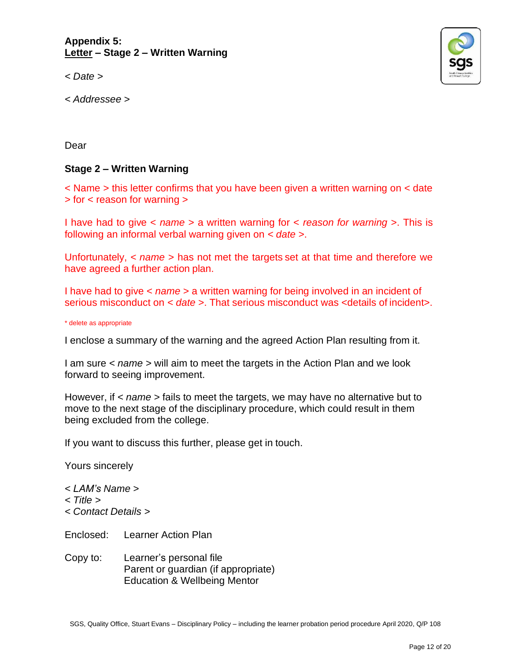**Appendix 5: Letter – Stage 2 – Written Warning**

*< Date >*

*< Addressee >*



Dear

### **Stage 2 – Written Warning**

< Name > this letter confirms that you have been given a written warning on < date > for < reason for warning >

I have had to give < *name* > a written warning for < *reason for warning* >. This is following an informal verbal warning given on *< date >*.

Unfortunately, *< name >* has not met the targets set at that time and therefore we have agreed a further action plan.

I have had to give < *name* > a written warning for being involved in an incident of serious misconduct on *< date >*. That serious misconduct was <details of incident>.

\* delete as appropriate

I enclose a summary of the warning and the agreed Action Plan resulting from it.

I am sure *< name >* will aim to meet the targets in the Action Plan and we look forward to seeing improvement.

However, if *< name >* fails to meet the targets, we may have no alternative but to move to the next stage of the disciplinary procedure, which could result in them being excluded from the college.

If you want to discuss this further, please get in touch.

Yours sincerely

- *< LAM's Name >*
- *< Title >*
- *< Contact Details >*

Enclosed: Learner Action Plan

Copy to: Learner's personal file Parent or guardian (if appropriate) Education & Wellbeing Mentor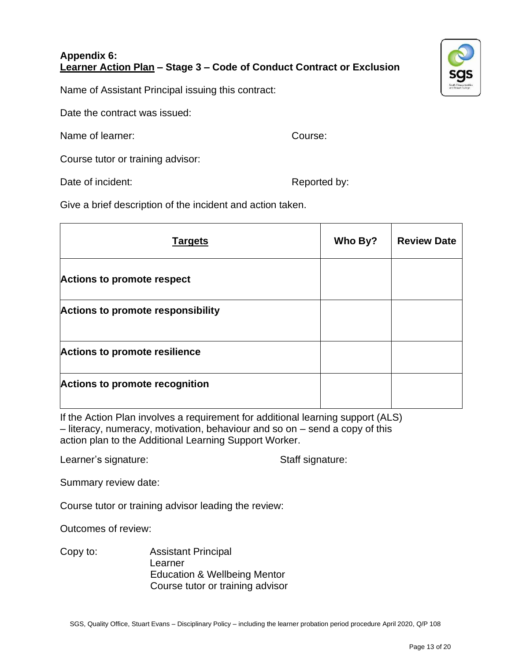### **Appendix 6: Learner Action Plan – Stage 3 – Code of Conduct Contract or Exclusion**



Name of Assistant Principal issuing this contract:

Date the contract was issued:

Name of learner: Course:

Course tutor or training advisor:

Date of incident:  $\blacksquare$ 

Give a brief description of the incident and action taken.

| <b>Targets</b>                           | Who By? | <b>Review Date</b> |
|------------------------------------------|---------|--------------------|
| <b>Actions to promote respect</b>        |         |                    |
| <b>Actions to promote responsibility</b> |         |                    |
| <b>Actions to promote resilience</b>     |         |                    |
| <b>Actions to promote recognition</b>    |         |                    |

If the Action Plan involves a requirement for additional learning support (ALS) – literacy, numeracy, motivation, behaviour and so on – send a copy of this action plan to the Additional Learning Support Worker.

Learner's signature: Staff signature:

Summary review date:

Course tutor or training advisor leading the review:

Outcomes of review:

Copy to: Assistant Principal Learner Education & Wellbeing Mentor Course tutor or training advisor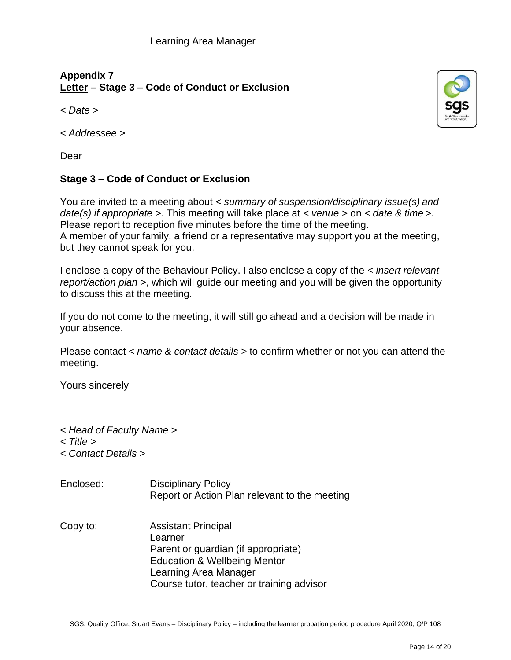# **Appendix 7 Letter – Stage 3 – Code of Conduct or Exclusion**

*< Date >*

*< Addressee >*

Dear

### **Stage 3 – Code of Conduct or Exclusion**

You are invited to a meeting about *< summary of suspension/disciplinary issue(s) and date(s) if appropriate >*. This meeting will take place at *< venue >* on *< date & time >*. Please report to reception five minutes before the time of the meeting. A member of your family, a friend or a representative may support you at the meeting, but they cannot speak for you.

I enclose a copy of the Behaviour Policy. I also enclose a copy of the *< insert relevant report/action plan >*, which will guide our meeting and you will be given the opportunity to discuss this at the meeting.

If you do not come to the meeting, it will still go ahead and a decision will be made in your absence.

Please contact *< name & contact details >* to confirm whether or not you can attend the meeting.

Yours sincerely

- *< Head of Faculty Name >*
- *< Title >*
- *< Contact Details >*
- Enclosed: Disciplinary Policy Report or Action Plan relevant to the meeting Copy to: Assistant Principal Learner Parent or guardian (if appropriate) Education & Wellbeing Mentor Learning Area Manager Course tutor, teacher or training advisor

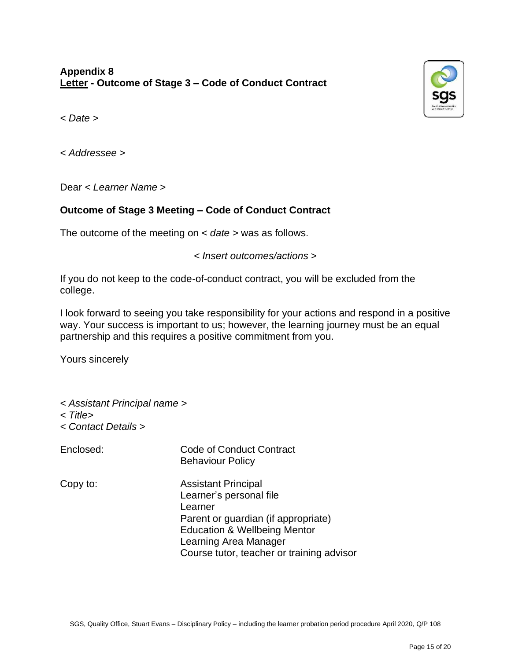

*< Date >*

*< Addressee >*

Dear *< Learner Name >*

### **Outcome of Stage 3 Meeting – Code of Conduct Contract**

The outcome of the meeting on *< date >* was as follows.

*< Insert outcomes/actions >*

If you do not keep to the code-of-conduct contract, you will be excluded from the college.

I look forward to seeing you take responsibility for your actions and respond in a positive way. Your success is important to us; however, the learning journey must be an equal partnership and this requires a positive commitment from you.

Yours sincerely

- *< Assistant Principal name >*
- *< Title>*
- *< Contact Details >*
- Enclosed: Code of Conduct Contract Behaviour Policy
- 
- Copy to: Assistant Principal Learner's personal file Learner Parent or guardian (if appropriate) Education & Wellbeing Mentor Learning Area Manager Course tutor, teacher or training advisor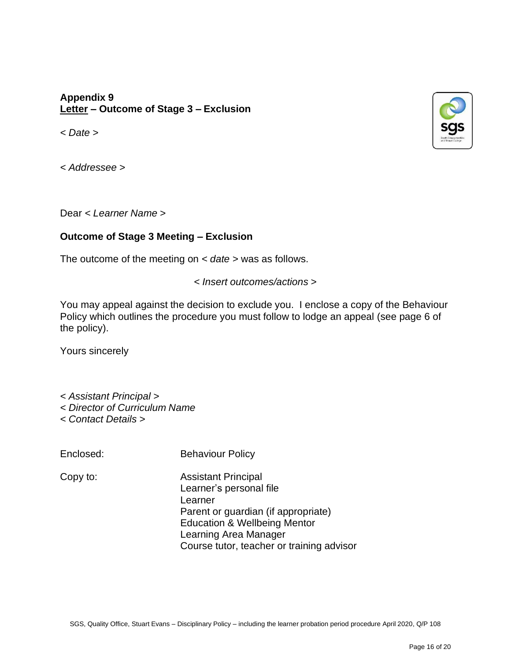### **Appendix 9 Letter – Outcome of Stage 3 – Exclusion**

*< Date >*

*< Addressee >*

Dear *< Learner Name >*

### **Outcome of Stage 3 Meeting – Exclusion**

The outcome of the meeting on *< date >* was as follows.

*< Insert outcomes/actions >*

You may appeal against the decision to exclude you. I enclose a copy of the Behaviour Policy which outlines the procedure you must follow to lodge an appeal (see page 6 of the policy).

Yours sincerely

*< Assistant Principal > < Director of Curriculum Name < Contact Details >*

Enclosed: Behaviour Policy

Copy to: Assistant Principal Learner's personal file Learner Parent or guardian (if appropriate) Education & Wellbeing Mentor Learning Area Manager Course tutor, teacher or training advisor

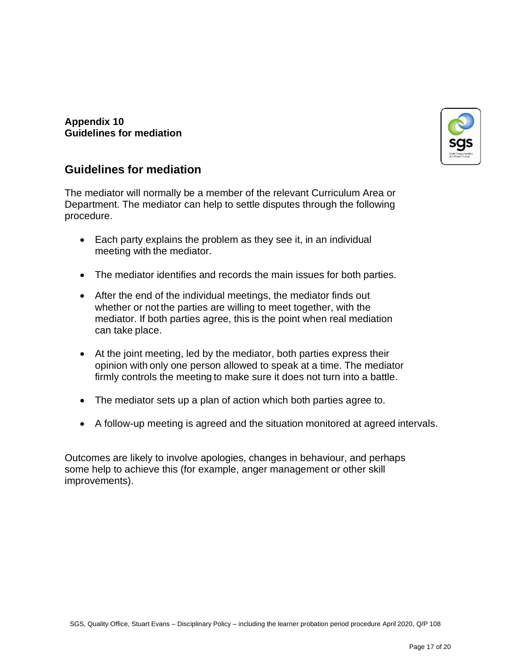

#### **Appendix 10 Guidelines for mediation**

# **Guidelines for mediation**

The mediator will normally be a member of the relevant Curriculum Area or Department. The mediator can help to settle disputes through the following procedure.

- Each party explains the problem as they see it, in an individual meeting with the mediator.
- The mediator identifies and records the main issues for both parties.
- After the end of the individual meetings, the mediator finds out whether or not the parties are willing to meet together, with the mediator. If both parties agree, this is the point when real mediation can take place.
- At the joint meeting, led by the mediator, both parties express their opinion with only one person allowed to speak at a time. The mediator firmly controls the meeting to make sure it does not turn into a battle.
- The mediator sets up a plan of action which both parties agree to.
- A follow-up meeting is agreed and the situation monitored at agreed intervals.

Outcomes are likely to involve apologies, changes in behaviour, and perhaps some help to achieve this (for example, anger management or other skill improvements).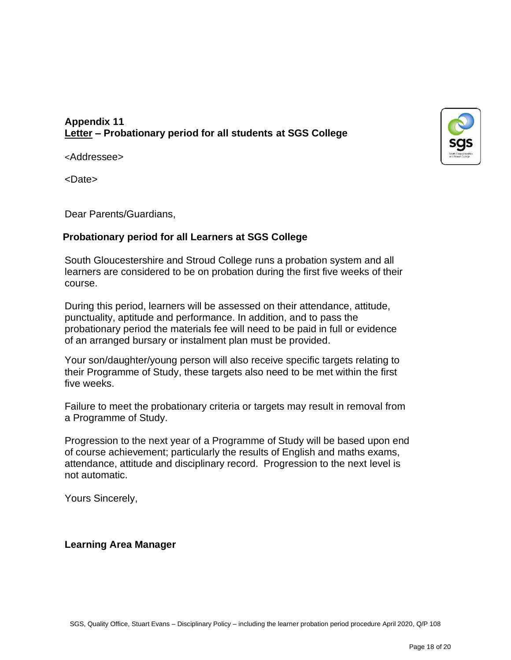### **Appendix 11 Letter – Probationary period for all students at SGS College**



<Addressee>

<Date>

Dear Parents/Guardians,

### **Probationary period for all Learners at SGS College**

South Gloucestershire and Stroud College runs a probation system and all learners are considered to be on probation during the first five weeks of their course.

During this period, learners will be assessed on their attendance, attitude, punctuality, aptitude and performance. In addition, and to pass the probationary period the materials fee will need to be paid in full or evidence of an arranged bursary or instalment plan must be provided.

Your son/daughter/young person will also receive specific targets relating to their Programme of Study, these targets also need to be met within the first five weeks.

Failure to meet the probationary criteria or targets may result in removal from a Programme of Study.

Progression to the next year of a Programme of Study will be based upon end of course achievement; particularly the results of English and maths exams, attendance, attitude and disciplinary record. Progression to the next level is not automatic.

Yours Sincerely,

#### **Learning Area Manager**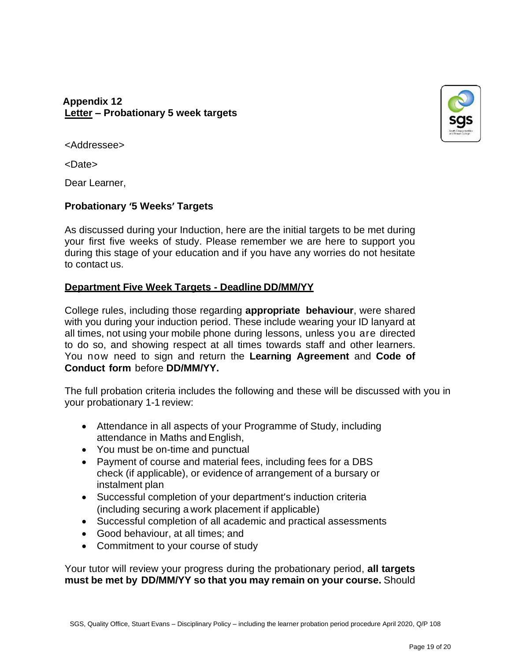### **Appendix 12 Letter – Probationary 5 week targets**



<Addressee>

<Date>

Dear Learner,

### **Probationary '5 Weeks' Targets**

As discussed during your Induction, here are the initial targets to be met during your first five weeks of study. Please remember we are here to support you during this stage of your education and if you have any worries do not hesitate to contact us.

### **Department Five Week Targets - Deadline DD/MM/YY**

College rules, including those regarding **appropriate behaviour**, were shared with you during your induction period. These include wearing your ID lanyard at all times, not using your mobile phone during lessons, unless you are directed to do so, and showing respect at all times towards staff and other learners. You now need to sign and return the **Learning Agreement** and **Code of Conduct form** before **DD/MM/YY.**

The full probation criteria includes the following and these will be discussed with you in your probationary 1-1 review:

- Attendance in all aspects of your Programme of Study, including attendance in Maths and English,
- You must be on-time and punctual
- Payment of course and material fees, including fees for a DBS check (if applicable), or evidence of arrangement of a bursary or instalment plan
- Successful completion of your department's induction criteria (including securing a work placement if applicable)
- Successful completion of all academic and practical assessments
- Good behaviour, at all times; and
- Commitment to your course of study

Your tutor will review your progress during the probationary period, **all targets must be met by DD/MM/YY so that you may remain on your course.** Should